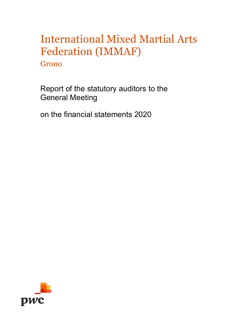Grono

Report of the statutory auditors to the General Meeting

on the financial statements 2020

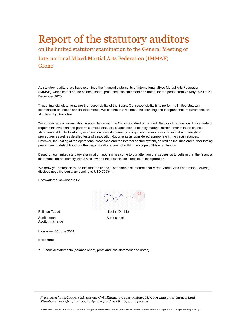# Report of the statutory auditors

on the limited statutory examination to the General Meeting of

International Mixed Martial Arts Federation (IMMAF) Grono

As statutory auditors, we have examined the financial statements of International Mixed Martial Arts Federation (IMMAF), which comprise the balance sheet, profit and loss statement and notes, for the period from 28 May 2020 to 31 December 2020.

These financial statements are the responsibility of the Board. Our responsibility is to perform a limited statutory examination on these financial statements. We confirm that we meet the licensing and independence requirements as stipulated by Swiss law.

We conducted our examination in accordance with the Swiss Standard on Limited Statutory Examination. This standard requires that we plan and perform a limited statutory examination to identify material misstatements in the financial statements. A limited statutory examination consists primarily of inquiries of association personnel and analytical procedures as well as detailed tests of association documents as considered appropriate in the circumstances. However, the testing of the operational processes and the internal control system, as well as inquiries and further testing procedures to detect fraud or other legal violations, are not within the scope of this examination.

Based on our limited statutory examination, nothing has come to our attention that causes us to believe that the financial statements do not comply with Swiss law and the association's articles of incorporation.

We draw your attention to the fact that the financial statements of International Mixed Martial Arts Federation (IMMAF), disclose negative equity amounting to USD 755'614.

PricewaterhouseCoopers SA



Audit expert

Philippe Tzaud Nicolas Daehler Audit expert Auditor in charge

Lausanne, 30 June 2021

Enclosure:

• Financial statements (balance sheet, profit and loss statement and notes)

*PricewaterhouseCoopers SA, avenue C.-F. Ramuz 45, case postale, CH-1001 Lausanne, Switzerland Téléphone: +41 58 792 81 00, Téléfax: +41 58 792 81 10, www.pwc.ch*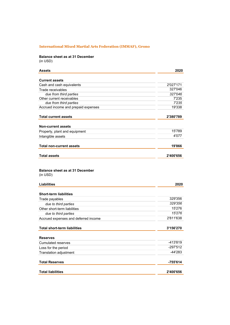### **Balance sheet as at 31 December** (in USD)

| <b>Assets</b>                        | 2020      |
|--------------------------------------|-----------|
| <b>Current assets</b>                |           |
| Cash and cash equivalents            | 2'027'171 |
| Trade receivables                    | 327'046   |
| due from third parties               | 327'046   |
| Other current receivables            | 7'235     |
| due from third parties               | 7'235     |
| Accrued income and prepaid expenses  | 19'338    |
| <b>Total current assets</b>          | 2'380'789 |
| <b>Non-current assets</b>            |           |
| Property, plant and equipment        | 15'789    |
| Intangible assets                    | 4'077     |
| <b>Total non-current assets</b>      | 19'866    |
| <b>Total assets</b>                  | 2'400'656 |
| (in USD)<br>Liabilities              | 2020      |
| Short-term liabilities               |           |
| Trade payables                       | 329'356   |
| due to third parties                 | 329'356   |
| Other short-term liabilities         | 15'276    |
| due to third parties                 | 15'276    |
| Accrued expenses and deferred income | 2'811'638 |
| <b>Total short-term liabilities</b>  | 3'156'270 |
| <b>Reserves</b>                      |           |
| <b>Cumulated reserves</b>            | -413'819  |
| Loss for the period                  | -297'512  |
| Translation adjustment               | -44'283   |
| <b>Total Reserves</b>                | -755'614  |

Total liabilities 2'400'656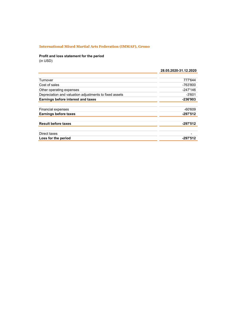# **Profit and loss statement for the period**

(in USD)

|                                                        | 28.05.2020-31.12.2020 |
|--------------------------------------------------------|-----------------------|
|                                                        |                       |
| Turnover                                               | 777'644               |
| Cost of sales                                          | -763'800              |
| Other operating expenses                               | -247'146              |
| Depreciation and valuation adjustments to fixed assets | $-3'601$              |
| Earnings before interest and taxes                     | -236'903              |
|                                                        |                       |
| <b>Financial expenses</b>                              | $-60'609$             |
| <b>Earnings before taxes</b>                           | $-297'512$            |
|                                                        |                       |
| <b>Result before taxes</b>                             | -297'512              |
|                                                        |                       |
| Direct taxes                                           |                       |
| Loss for the period                                    | -297'512              |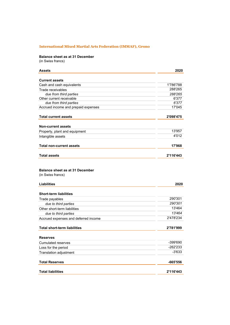## **Balance sheet as at 31 December**

(in Swiss francs)

| <b>Assets</b>                                                | 2020      |
|--------------------------------------------------------------|-----------|
| <b>Current assets</b>                                        |           |
| Cash and cash equivalents                                    | 1'786'788 |
| Trade receivables                                            | 288'265   |
| due from third parties                                       | 288'265   |
| Other current receivable                                     | 6'377     |
| due from third parties                                       | 6'377     |
| Accrued income and prepaid expenses                          | 17'045    |
| <b>Total current assets</b>                                  | 2'098'475 |
| <b>Non-current assets</b>                                    |           |
| Property, plant and equipment                                | 13'957    |
| Intangible assets                                            | 4'012     |
| <b>Total non-current assets</b>                              | 17'968    |
| <b>Total assets</b>                                          | 2'116'443 |
| <b>Liabilities</b>                                           | 2020      |
| <b>Short-term liabilities</b>                                |           |
|                                                              | 290'301   |
| Trade payables                                               | 290'301   |
| due to third parties                                         | 13'464    |
| Other short-term liabilities                                 | 13'464    |
| due to third parties<br>Accrued expenses and deferred income | 2'478'234 |
|                                                              |           |
| Total short-term liabilities                                 | 2'781'999 |
| <b>Reserves</b>                                              |           |
| Cumulated reserves                                           | -399'690  |
| Loss for the period                                          | -262'233  |
| Translation adjustment                                       | $-3'633$  |
| <b>Total Reserves</b>                                        | -665'556  |
| <b>Total liabilities</b>                                     | 2'116'443 |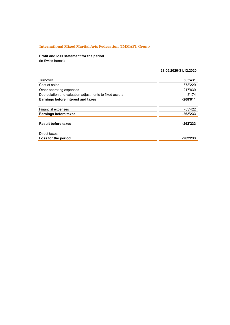## **Profit and loss statement for the period**

(in Swiss francs)

|                                                        | 28.05.2020-31.12.2020 |
|--------------------------------------------------------|-----------------------|
|                                                        |                       |
| Turnover                                               | 685'431               |
| Cost of sales                                          | $-673'229$            |
| Other operating expenses                               | $-217'839$            |
| Depreciation and valuation adjustments to fixed assets | $-3'174$              |
| Earnings before interest and taxes                     | $-208'811$            |
|                                                        |                       |
| <b>Financial expenses</b>                              | -53'422               |
| <b>Earnings before taxes</b>                           | $-262'233$            |
| <b>Result before taxes</b>                             | -262'233              |
| Direct taxes                                           |                       |
| Loss for the period                                    | -262'233              |